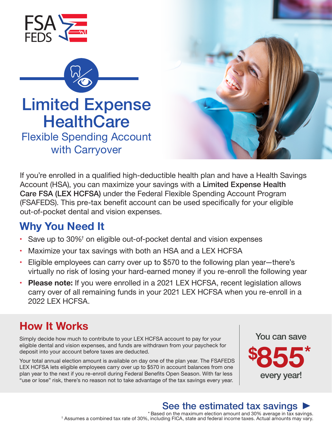



# Limited Expense **HealthCare**

Flexible Spending Account Flexible Spending Accountwith Carryoverwith Carryover



If you're enrolled in a qualified high-deductible health plan and have a Health Savings Account (HSA), you can maximize your savings with a Limited Expense Health Care FSA (LEX HCFSA) under the Federal Flexible Spending Account Program (FSAFEDS). This pre-tax benefit account can be used specifically for your eligible out-of-pocket dental and vision expenses.

### **Why You Need It**

- Save up to 30% $^{\dagger}$  on eligible out-of-pocket dental and vision expenses
- Maximize your tax savings with both an HSA and a LEX HCFSA
- Eligible employees can carry over up to \$570 to the following plan year—there's virtually no risk of losing your hard-earned money if you re-enroll the following year
- **Please note:** If you were enrolled in a 2021 LEX HCFSA, recent legislation allows carry over of all remaining funds in your 2021 LEX HCFSA when you re-enroll in a 2022 LEX HCFSA.

## **How It Works**

Simply decide how much to contribute to your LEX HCFSA account to pay for your eligible dental and vision expenses, and funds are withdrawn from your paycheck for deposit into your account before taxes are deducted.

Your total annual election amount is available on day one of the plan year. The FSAFEDS LEX HCFSA lets eligible employees carry over up to \$570 in account balances from one plan year to the next if you re-enroll during Federal Benefits Open Season. With far less "use or lose" risk, there's no reason not to take advantage of the tax savings every year.



### See the estimated tax savings I

\* Based on the maximum election amount and 30% average in tax savings.  $\dagger$  Assumes a combined tax rate of 30%, including FICA, state and federal income taxes. Actual amounts may vary.